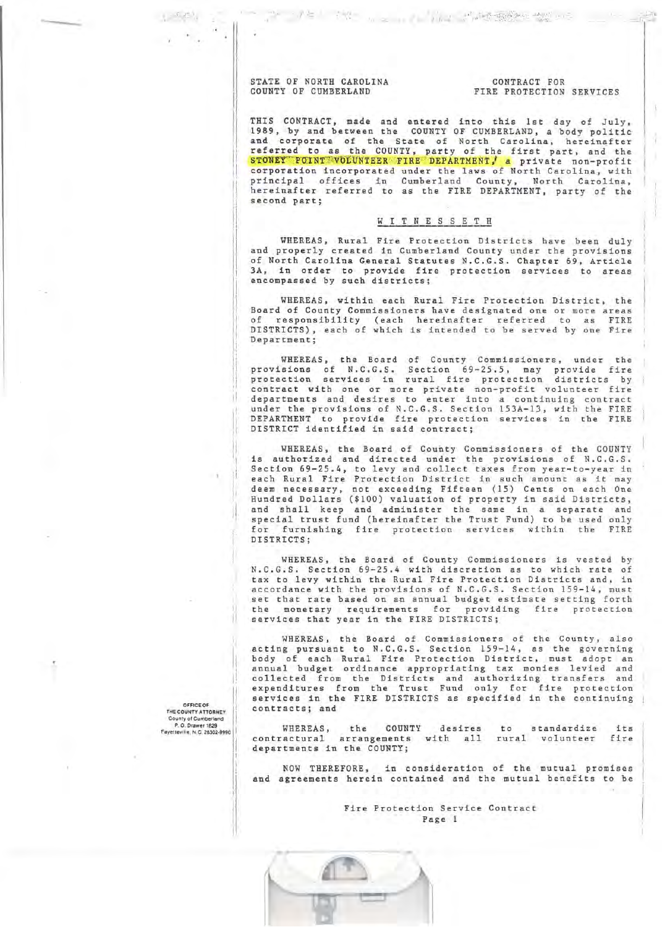## STATE OF NORTH CAROLINA COUNTY OF CUMBERLAND

### CONTRACT FOR FIRE PROTECTION SERVICES

THIS CONTRACT, made and entered into this lst day of July, 1989, by and between the COUNTY OF CUMBERLAND, a body politic<br>and corporate of the State of North Carolina, hereinafter referred to as the COUNTY, party of the first part, and the<br>STONEY POINT VOLUNTEER FIRE DEPARTMENT, a private non-profit<br>corporation incorporated under the laws of North Carolina, with principal offices in Cumberland County, North Carolina,<br>hereinafter referred to as the FIRE DEPARTMENT, party of the second part;

<sup>36</sup> 「八百」「秋」 <sub>か</sub>っ … 「三九」 西代語歌作 数のの

# WITNESSETH

WHEREAS, Rural Fire Protection Districts have been duly and properly created in Cumberland County under the provisions of North Carolina General Statutes N.C.G.S. Chapter 69, Article 3A, in order to provide fire protection services to areas encompassed by such districts;

WHEREAS, within each Rural Fire Protection District, the Board of County Commissioners have designated one or more areas of responsibility (each hereinafter referred to as FIRE DISTRICTS), each of which is intended to be served by one Fire Department:

WHEREAS, the Board of County Commissioners, under the<br>provisions of N.C.G.S. Section 69-25.5, may provide fire<br>protection services in rural fire protection districts by contract with one or more private non-profit volunteer fire<br>departments and desires to enter into a continuing contract under the provisions of N.C.G.S. Section 153A-13, with the FIRE DEPARTMENT to provide fire protection services in the FIRE DISTRICT identified in said contract;

WHEREAS, the Board of County Commissioners of the COUNTY is authorized and directed under the provisions of N.C.G.S. Section 69-25.4, to levy and collect taxes from year-to-year in each Rural Fire Protection District in such amount as it may deem necessary, not exceeding Fifteen (15) Cents on each One<br>Hundred Dollars (\$100) valuation of property in said Districts, and shall keep and administer the same in a separate and special trust fund (hereinafter the Trust Fund) to be used only for furnishing fire protection services within the FIRE DISTRICTS:

WHEREAS, the Board of County Commissioners is vested by N.C.G.S. Section 69-25.4 with discretion as to which rate of tax to levy within the Rural Fire Protection Districts and, in accordance with the provisions of N.C.G.S. Section 159-14, must set that rate based on an annual budget estimate setting forth the monetary requirements for providing fire protection services that year in the FIRE DISTRICTS;

WHEREAS, the Board of Commissioners of the County, also acting pursuant to N.C.G.S. Section 159-14, as the governing body of each Rural Fire Protection District, must adopt an annual budget ordinance appropriating tax monies levied and collected from the Districts and authorizing transfers and<br>expenditures from the Trust Fund only for fire protection services in the FIRE DISTRICTS as specified in the continuing contracts; and

WHEREAS, the COUNTY desires WHEREAS, the COUNTY desires to standardize its<br>contractural arrangements with all rural volunteer fire its. departments in the COUNTY;

NOW THEREFORE, in consideration of the mutual promises and agreements herein contained and the mutual benefits to be

> Fire Protection Service Contract Page 1



OFFICE OF THE COUNTY ATTORNEY County of Cumberland<br>P. O. Drawer 1829 Favetteville, N.C. 28302-0000

 $1 - 5 - 22$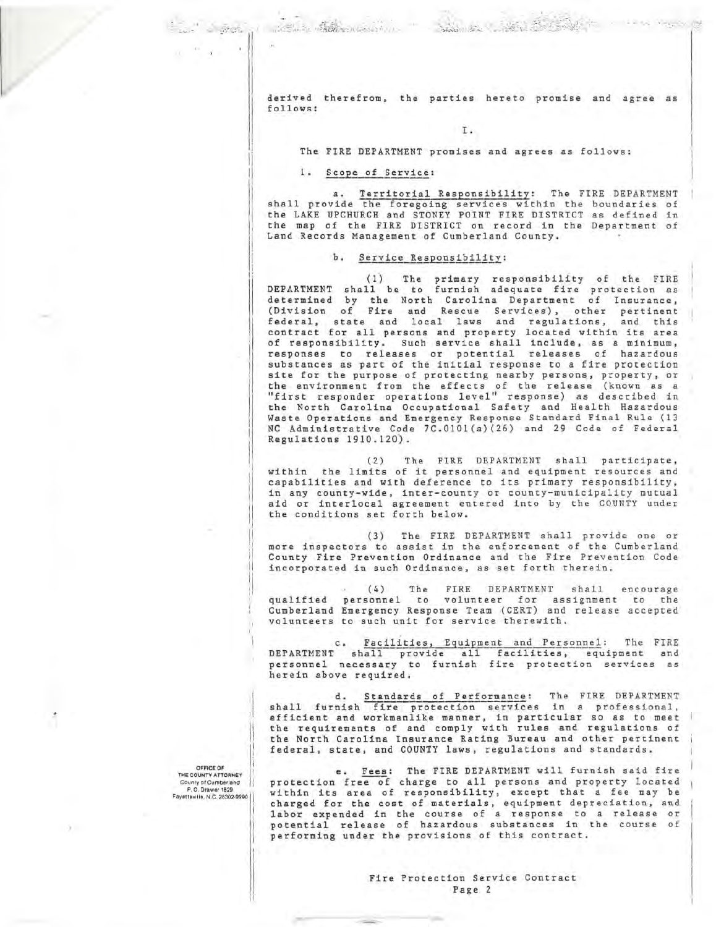derived therefrom, the parties hereto promise and agree as follows:

### Ι.

### The FIRE DEPARTMENT promises and agrees as follows:

### 1. Scope of Service:

Committee Charles Committee of the Committee of the Committee of the Committee of the Committee of the Committee of the Committee of the Committee of the Committee of the Committee of the Committee of the Committee of the

' a mate.

a. Territorial Responsibility: The FIRE DEPARTMENT<br>shall provide the foregoing services within the boundaries of<br>the LAKE UPCHURCH and STONEY POINT FIRE DISTRICT as defined in the map of the FIRE DISTRICT on record in the Department of Land Records Management of Cumberland County.

### b. Service Responsibility:

(1) The primary responsibility of the FIRE<br>DEPARTMENT shall be to furnish adequate fire protection as determined by the North Carolina Department of Insurance, (Division of Fire and Rescue Services), other pertinent<br>federal, state and local laws and regulations, and this<br>contract for all persons and property located within its area of responsibility. Such service shall include, as a minimum, responses to releases or potential releases of hazardous substances as part of the initial response to a fire protection site for the purpose of protecting nearby persons, property, or the environment from the effects of the release (known as a<br>"first responder operations level" response) as described in<br>the North Carolina Occupational Safety and Health Hazardous Waste Operations and Emergency Response Standard Final Rule (13 NC Administrative Code 7C.0101(a)(26) and 29 Code of Federal Regulations 1910.120).

The FIRE DEPARTMENT shall participate,  $(2)$ within the limits of it personnel and equipment resources and capabilities and with deference to its primary responsibility, in any county-wide, inter-county or county-municipality mutual aid or interlocal agreement entered into by the COUNTY under the conditions set forth below.

(3) The FIRE DEPARTMENT shall provide one or more inspectors to assist in the enforcement of the Cumberland County Fire Prevention Ordinance and the Fire Prevention Code incorporated in such Ordinance, as set forth therein.

(4) The FIRE DEPARTMENT shall encourage<br>qualified personnel to volunteer for assignment to the<br>Cumberland Emergency Response Team (CERT) and release accepted volunteers to such unit for service therewith.

Facilities, Equipment and Personnel: The FIRE  $c.$ DEPARTMENT shall provide all facilities, equipment and personnel necessary to furnish fire protection services as herein above reguired.

d. Standards of Performance: The FIRE DEPARTMENT<br>shall furnish fire protection services in a professional, efficient and workmanlike manner, in particular so as to meet<br>the requirements of and comply with rules and regulations of the North Carolina Insurance Rating Bureau and other pertinent federal, state, and COUNTY laws, regulations and standards.

OFFICE OF THE COUNTY ATTORNEY<br>County of Cumberland P.O. Drawer 1829 Fayetteville, N.C. 28302-9990

 $\Delta$ 

e. Fees: The FIRE DEPARTMENT will furnish said fire protection free of charge to all persons and property located within its area of responsibility, except that a fee may be charged for the cost of materials, equipment depreciation, and labor expended in the course of a response to a release or<br>potential release of hazardous substances in the course of performing under the provisions of this contract.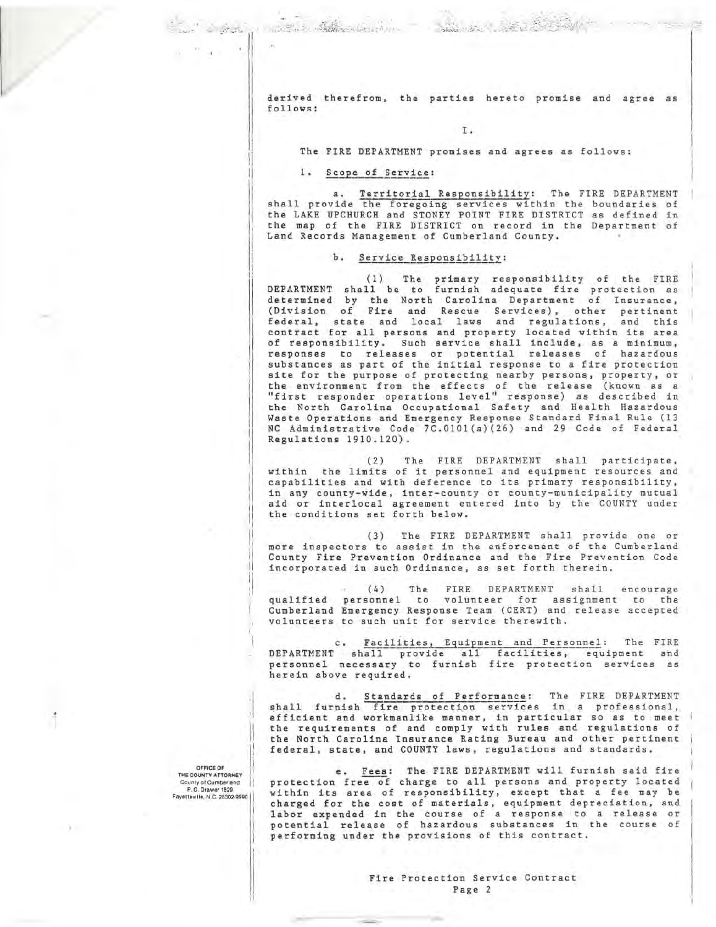derived therefrom, the parties hereto promise and agree as follows:

### I.

#### The FIRE DEPARTMENT promises and agrees as follows:

### 1. Scope of Service:

Contact Marchan

a. Territorial Responsibility: The FIRE DEPARTMENT<br>shall provide the foregoing services within the boundaries of<br>the LAKE UPCHURCH and STONEY POINT FIRE DISTRICT as defined in the map of the FIRE DISTRICT on record in the Department of Land Records Management of Cumberland County.

### b. Service Responsibility:

(1) The primary responsibility of the FIRE<br>DEPARTMENT shall be to furnish adequate fire protection as determined by the North Carolina Department of Insurance, (Division of Fire and Rescue Services), other pertinent<br>federal, state and local laws and regulations, and this<br>contract for all persons and property located within its area of responsibility. Such service shall include, as a minimum, responses to releases or potential releases of hazardous substances as part of the initial response to a fire protection site for the purpose of protecting nearby persons, property, or the environment from the effects of the release (known as a<br>"first responder operations level" response) as described in<br>the North Carolina Occupational Safety and Health Hazardous Waste Operations and Emergency Response Standard Final Rule (13 NC Administrative Code 7C.0101(a)(26) and 29 Code of Federal Regulations 1910.120).

The FIRE DEPARTMENT shall participate,  $(2)$ within the limits of it personnel and equipment resources and capabilities and with deference to its primary responsibility, in any county-wide, inter-county or county-municipality mutual aid or interlocal agreement entered into by the COUNTY under the conditions set forth below.

(3) The FIRE DEPARTMENT shall provide one or more inspectors to assist in the enforcement of the Cumberland County Fire Prevention Ordinance and the Fire Prevention Code incorporated in such Ordinance, as set forth therein.

The FIRE DEPARTMENT shall encourage  $(4)$ qualified personnel to volunteer for assignment to the<br>Cumberland Emergency Response Team (CERT) and release accepted volunteers to such unit for service therewith.

Facilities, Equipment and Personnel: The FIRE  $c.$ DEPARTMENT shall provide all facilities, equipment and<br>personnel necessary to furnish fire protection services as herein above reguired.

d. Standards of Performance: The FIRE DEPARTMENT<br>shall furnish fire protection services in a professional, efficient and workmanlike manner, in particular so as to meet<br>the requirements of and comply with rules and regulations of the North Carolina Insurance Rating Bureau and other pertinent federal, state, and COUNTY laws, regulations and standards.

OFFICE OF THE COUNTY ATTORNEY<br>County of Cumberland P.O. Drawer 1829 Fayetteville, N.C. 28302-9990

 $\Delta$ 

" a leath

e. Fees: The FIRE DEPARTMENT will furnish said fire protection free of charge to all persons and property located within its area of responsibility, except that a fee may be charged for the cost of materials, equipment depreciation, and labor expended in the course of a response to a release or potential release of hazardous substances in the course of performing under the provisions of this contract.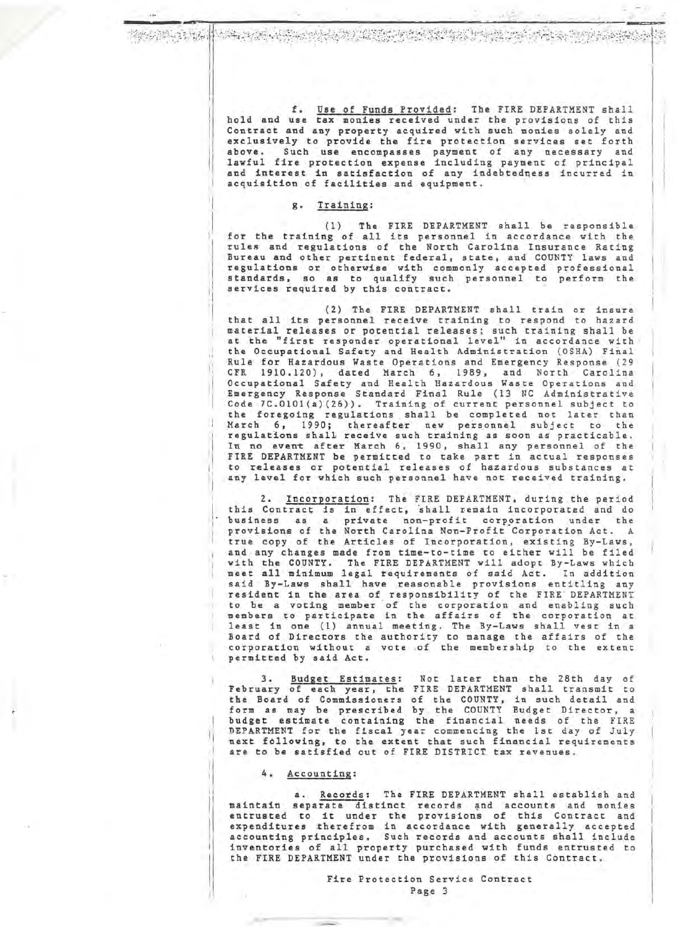ar baill bar a graduachd an chuid chuid an chuid chun bha an chuid an ch

f. Use of Funds Provided: The FIRE DEPARTMENT shall hold and use tax monies received under the provisions of this Contract and any property acquired with such monies solely and exclusively to provide the fire protection services set forth above. Such use encompasses payment of any necessary and lawful fire protection expense including payment of principal and interest in satisfaction of any indebtedness incurred in acquisition of facilities and equipment.

# g. Training:

(1) The FIRE DEPARTMENT shall be responsible for the training of all its personnel in accordance with the rules and regulations of the North Carolina Insurance Rating Bureau and other pertinent federal, state, and COUNTY laws and regulations or otherwise with commonly accepted professional standards, so as to qualify such personnel to perform the services required by this contract.

(2) The FIRE DEPARTMENT shall train or insure<br>that all its personnel receive training to respond to hazard material releases or potential releases; such training shall be at the "first responder operational level" in accordance with the Occupational Safety and Health Administration (OSHA) Final Rule for Hazardous Waste Operations and Emergency Response (29 CFR 1910.120), dated March 6, 1989, and North Carolina<br>Occupational Safety and Health Hazardous Waste Operations and<br>Emergency Response Standard Final Rule (13 NC Administrative Code 7C.0101(a)(26)). Training of current personnel subject to the foregoing regulations shall be completed not later than March 6, 1990; thereafter new personnel subject to the regulations shall receive such training as soon as practicable. In no event after March 6, 1990, shall any personnel of the<br>FIRE DEPARTMENT be permitted to take part in actual responses to releases or potential releases of hazardous substances at any level for which such personnel have not received training.

2. Incorporation: The FIRE DEPARTMENT, during the period this Contract is in effect, shall remain incorporated and do business as a private non-profit corporation under the<br>provisions of the North Carolina Non-Profit Corporation Act. A true copy of the Articles of Incorporation, existing By-Laws, and any changes made from time-to-time to either will be filed with the COUNTY. The FIRE DEPARTMENT will adopt By-Laws which meet all minimum legal requirements of said Act. In addition said By-Laws shall have reasonable provisions entitling any resident in the area of responsibility of the FIRE DEPARTMENT<br>to be a voting member of the corporation and enabling such members to participate in the affairs of the corporation at least in one (1) annual meeting. The By-Laws shall vest in a Board of Directors the authority to manage the affairs of the<br>corporation without a vote of the membership to the extent permitted by said Act.

Budget Estimates: Not later than the 28th day of  $3.$ February of each year, the FIRE DEPARTMENT shall transmit to the Board of Commissioners of the COUNTY, in such detail and<br>form as may be prescribed by the COUNTY Budget Director, a budget estimate containing the financial needs of the FIRE DEPARTMENT for the fiscal year commencing the 1st day of July<br>next following, to the extent that such financial requirements are to be satisfied out of FIRE DISTRICT tax revenues.

4. Accounting:

a. Records: The FIRE DEPARTMENT shall establish and maintain separate distinct records and accounts and monies<br>entrusted to it under the provisions of this Contract and expenditures therefrom in accordance with generally accepted accounting principles. Such records and accounts shall include inventories of all property purchased with funds entrusted to<br>the FIRE DEPARTMENT under the provisions of this Contract.

> Fire Protection Service Contract Page 3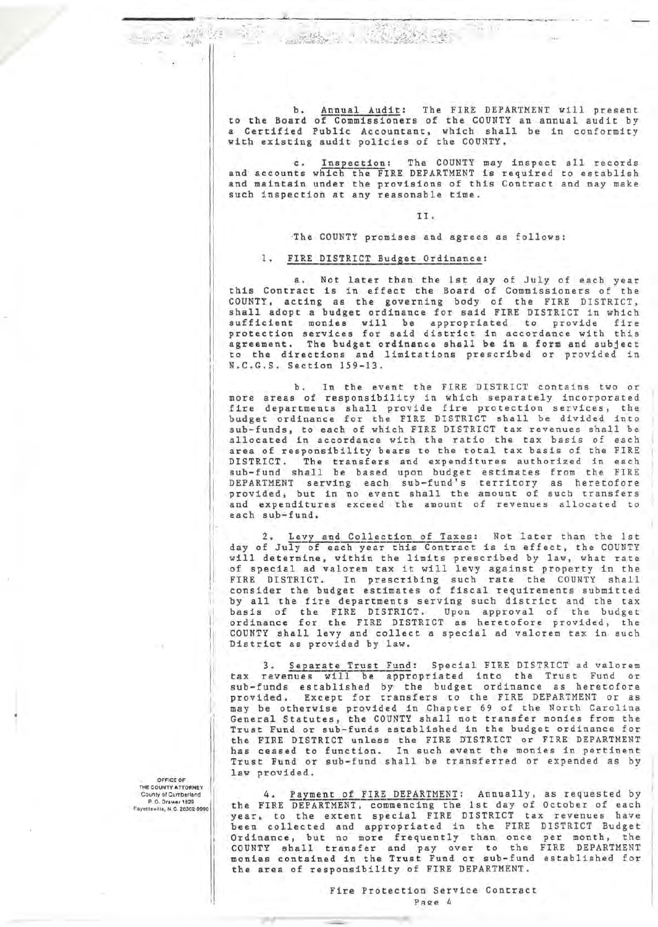Annual Audit: The FIRE DEPARTMENT will present  $h$ . to the Board of Commissioners of the COUNTY an annual audit by a Certified Public Accountant, which shall be in conformity<br>with existing audit policies of the COUNTY.

Ten Lit

c. Inspection: The COUNTY may inspect all records<br>and accounts which the FIRE DEPARTMENT is required to establish and maintain under the provisions of this Contract and may make such inspection at any reasonable time.

TT.

The COUNTY promises and agrees as follows:

### 1. FIRE DISTRICT Budget Ordinance:

**Braid** 

a. Not later than the 1st day of July of each year<br>this Contract is in effect the Board of Commissioners of the COUNTY, acting as the governing body of the FIRE DISTRICT, shall adopt a budget ordinance for said FIRE DISTRICT in which sufficient monies will be appropriated to provide fire<br>protection services for said district in accordance with this<br>agreement. The budget ordinance shall be in a form and subject to the directions and limitations prescribed or provided in N.C.G.S. Section 159-13.

In the event the FIRE DISTRICT contains two or  $b<sub>+</sub>$ more areas of responsibility in which separately incorporated<br>fire departments shall provide fire protection services, the budget ordinance for the FIRE DISTRICT shall be divided into sub-funds, to each of which FIRE DISTRICT tax revenues shall be allocated in accordance with the ratio the tax basis of each<br>area of responsibility bears to the total tax basis of the FIRE DISTRICT. The transfers and expenditures authorized in each sub-fund shall be based upon budget estimates from the FIRE DEPARTMENT serving each sub-fund's territory as heretofore<br>provided, but in no event shall the amount of such transfers and expenditures exceed the amount of revenues allocated to each sub-fund.

Levy and Collection of Taxes: Not later than the 1st  $2.1$ day of July of each year this Contract is in effect, the COUNTY will determine, within the limits prescribed by law, what rate of special ad valorem tax it will levy against property in the FIRE DISTRICT. In prescribing such rate the COUNTY shall<br>consider the budget estimates of fiscal requirements submitted by all the fire departments serving such district and the tax<br>basis of the FIRE DISTRICT. Upon approval of the budget ordinance for the FIRE DISTRICT as heretofore provided, the COUNTY shall levy and collect a special ad valorem tax in such District as provided by law.

3. Separate Trust Fund: Special FIRE DISTRICT ad valorem tax revenues will be appropriated into the Trust Fund or<br>sub-funds established by the budget ordinance as heretofore<br>provided. Except for transfers to the FIRE DEPARTMENT or as may be otherwise provided in Chapter 69 of the North Carolina General Statutes, the COUNTY shall not transfer monies from the Trust Fund or sub-funds established in the budget ordinance for the FIRE DISTRICT unless the FIRE DISTRICT or FIRE DEPARTMENT<br>has ceased to function. In such event the monies in pertinent Trust Fund or sub-fund shall be transferred or expended as by law provided.

4. Payment of FIRE DEPARTMENT: Annually, as requested by the FIRE DEPARTMENT, commencing the 1st day of October of each<br>year, to the extent special FIRE DISTRICT tax revenues have been collected and appropriated in the FIRE DISTRICT Budget Ordinance, but no more frequently than once per month, the<br>COUNTY shall transfer and pay over to the FIRE DEPARTMENT<br>monies contained in the Trust Fund or sub-fund established for the area of responsibility of FIRE DEPARTMENT.

OFFICE OF THE COUNTY ATTORNEY County of Cumberland<br>P. O. Drawer 1829 Favetteville, N.C. 28302-9990

> Fire Protection Service Contract Page 4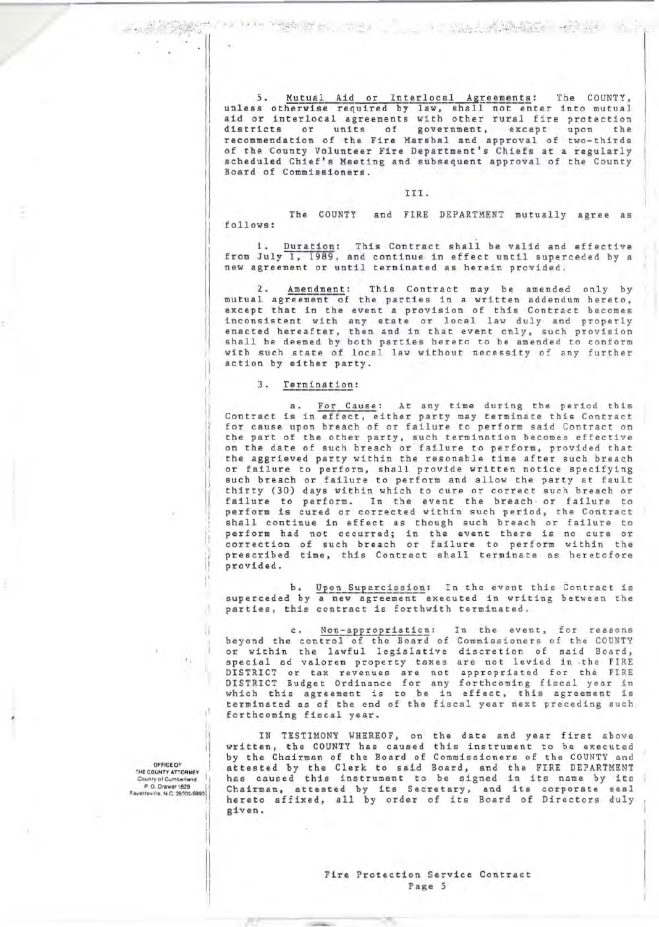$5.$ Mutual Aid or Interlocal Agreements: The COUNTY, unless otherwise required by law, shall not enter into mutual<br>aid or interlocal agreements with other rural fire protection districts or units of government, except upon the recommendation of the Fire Marshal and approval of two-thirds of the County Volunteer Fire Department's Chiefs at a regularly scheduled Chief's Meeting and subsequent approval of the County Board of Commissioners.

#### III.

The COUNTY and FIRE DEPARTMENT mutually agree as follows:

Duration: This Contract shall be valid and effective from July 1, 1989, and continue in effect until superceded by a new agreement or until terminated as herein provided.

 $2.$ This Contract may be amended only by Amendment: mutual agreement of the parties in a written addendum hereto, except that in the event a provision of this Contract becomes inconsistent with any state or local law duly and properly enacted hereafter, then and in that event only, such provision<br>shall be deemed by both parties hereto to be amended to conform with such state of local law without necessity of any further action by either party.

#### 3. Termination:

For Cause: At any time during the period this a. Contract is in effect, either party may terminate this Contract for cause upon breach of or failure to perform said Contract on the part of the other party, such termination becomes effective on the date of such breach or failure to perform, provided that the aggrieved party within the resonable time after such breach or failure to perform, shall provide written notice specifying such breach or failure to perform and allow the party at fault thirty (30) days within which to cure or correct such breach or failure to perform. In the event the breach or failure to<br>perform is cured or corrected within such period, the Contract shall continue in effect as though such breach or failure to perform had not occurred; in the event there is no cure or<br>correction of such breach or failure to perform within the prescribed time, this Contract shall terminate as heretofore provided.

b. Upon Supercission: In the event this Contract is<br>superceded by a new agreement executed in writing between the parties, this contract is forthwith terminated.

c. Non-appropriation: In the event, for reasons<br>beyond the control of the Board of Commissioners of the COUNTY or within the lawful legislative discretion of said Board, special ad valorem property taxes are not levied in the FIRE DISTRICT or tax revenues are not appropriated for the FIRE DISTRICT Budget Ordinance for any forthcoming fiscal year in which this agreement is to be in effect, this agreement is<br>terminated as of the end of the fiscal year next preceding such forthcoming fiscal year.

IN TESTIMONY WHEREOF, on the date and year first above written, the COUNTY has caused this instrument to be executed<br>by the Chairman of the Board of Commissioners of the COUNTY and attested by the Clerk to said Board, and the FIRE DEPARTMENT has caused this instrument to be signed in its name by its<br>Chairman, attested by its Secretary, and its corporate seal hereto affixed, all by order of its Board of Directors duly given.

**OFFICE OF** THE COUNTY ATTORNEY County of Cumberland P.O. Drawer 1829

л

Fire Protection Service Contract Page 5